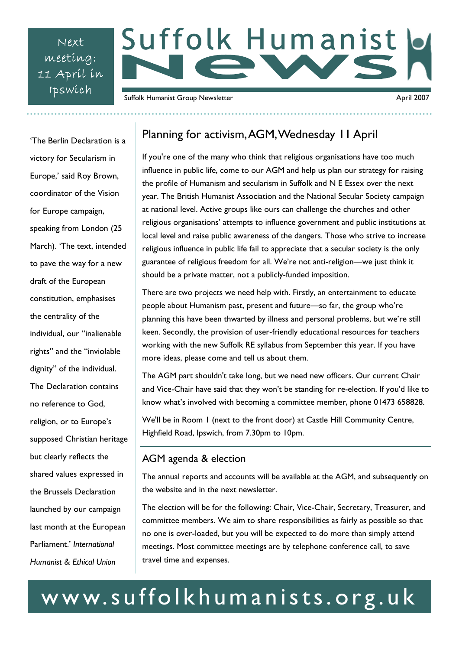Next meeting: 11 April in

# Suffolk Humanist Ipswich Suffolk Humanist Group Newsletter April 2007

# 'The Berlin Declaration is a victory for Secularism in Europe,' said Roy Brown, coordinator of the Vision for Europe campaign, speaking from London (25 March). 'The text, intended to pave the way for a new draft of the European constitution, emphasises the centrality of the individual, our "inalienable rights" and the "inviolable dignity" of the individual. The Declaration contains no reference to God, religion, or to Europe's supposed Christian heritage but clearly reflects the shared values expressed in the Brussels Declaration launched by our campaign last month at the European Parliament.' *International Humanist & Ethical Union*

## Planning for activism, AGM, Wednesday 11 April

If you're one of the many who think that religious organisations have too much influence in public life, come to our AGM and help us plan our strategy for raising the profile of Humanism and secularism in Suffolk and N E Essex over the next year. The British Humanist Association and the National Secular Society campaign at national level. Active groups like ours can challenge the churches and other religious organisations' attempts to influence government and public institutions at local level and raise public awareness of the dangers. Those who strive to increase religious influence in public life fail to appreciate that a secular society is the only guarantee of religious freedom for all. We're not anti-religion—we just think it should be a private matter, not a publicly-funded imposition.

There are two projects we need help with. Firstly, an entertainment to educate people about Humanism past, present and future—so far, the group who're planning this have been thwarted by illness and personal problems, but we're still keen. Secondly, the provision of user-friendly educational resources for teachers working with the new Suffolk RE syllabus from September this year. If you have more ideas, please come and tell us about them.

The AGM part shouldn't take long, but we need new officers. Our current Chair and Vice-Chair have said that they won't be standing for re-election. If you'd like to know what's involved with becoming a committee member, phone 01473 658828.

We'll be in Room 1 (next to the front door) at Castle Hill Community Centre, Highfield Road, Ipswich, from 7.30pm to 10pm.

### AGM agenda & election

The annual reports and accounts will be available at the AGM, and subsequently on the website and in the next newsletter.

The election will be for the following: Chair, Vice-Chair, Secretary, Treasurer, and committee members. We aim to share responsibilities as fairly as possible so that no one is over-loaded, but you will be expected to do more than simply attend meetings. Most committee meetings are by telephone conference call, to save travel time and expenses.

# www.suffolkhumanists.org.uk